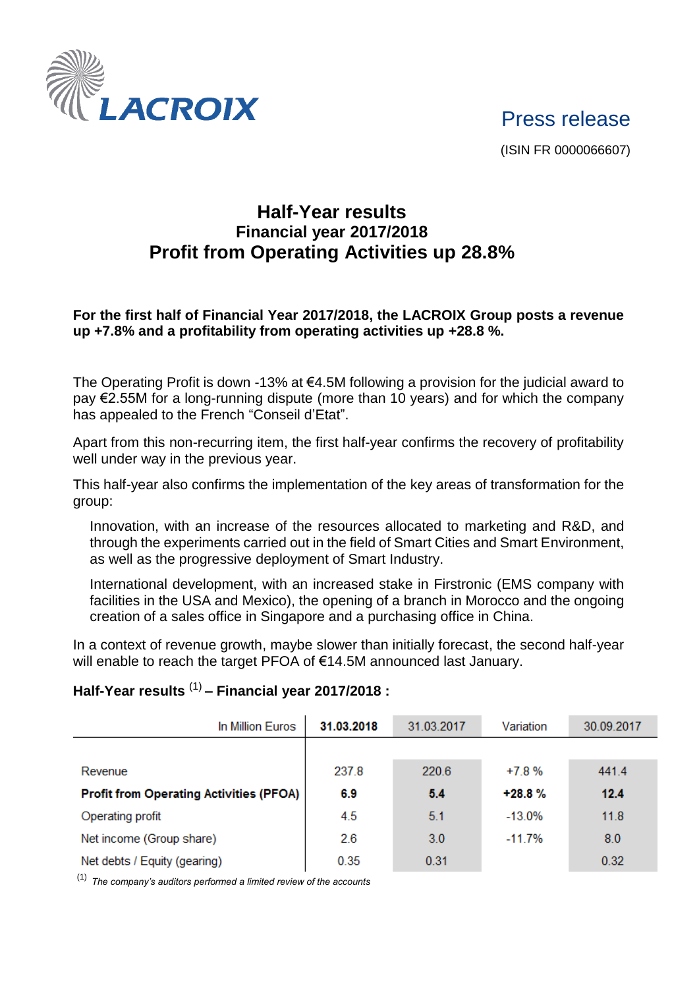

Press release

(ISIN FR 0000066607)

## **Half-Year results Financial year 2017/2018 Profit from Operating Activities up 28.8%**

## **For the first half of Financial Year 2017/2018, the LACROIX Group posts a revenue up +7.8% and a profitability from operating activities up +28.8 %.**

The Operating Profit is down -13% at  $64.5M$  following a provision for the judicial award to pay €2.55M for a long-running dispute (more than 10 years) and for which the company has appealed to the French "Conseil d'Etat".

Apart from this non-recurring item, the first half-year confirms the recovery of profitability well under way in the previous year.

This half-year also confirms the implementation of the key areas of transformation for the group:

Innovation, with an increase of the resources allocated to marketing and R&D, and through the experiments carried out in the field of Smart Cities and Smart Environment, as well as the progressive deployment of Smart Industry.

International development, with an increased stake in Firstronic (EMS company with facilities in the USA and Mexico), the opening of a branch in Morocco and the ongoing creation of a sales office in Singapore and a purchasing office in China.

In a context of revenue growth, maybe slower than initially forecast, the second half-year will enable to reach the target PFOA of €14.5M announced last January.

## **Half-Year results** (1) **– Financial year 2017/2018 :**

| In Million Euros                               | 31.03.2018 | 31.03.2017 | Variation | 30.09.2017 |
|------------------------------------------------|------------|------------|-----------|------------|
|                                                |            |            |           |            |
| Revenue                                        | 237.8      | 220.6      | $+7.8%$   | 441.4      |
| <b>Profit from Operating Activities (PFOA)</b> | 6.9        | 5.4        | $+28.8%$  | 12.4       |
| Operating profit                               | 4.5        | 5.1        | $-13.0%$  | 11.8       |
| Net income (Group share)                       | 2.6        | 3.0        | $-11.7%$  | 8.0        |
| Net debts / Equity (gearing)                   | 0.35       | 0.31       |           | 0.32       |

(1) *The company's auditors performed a limited review of the accounts*